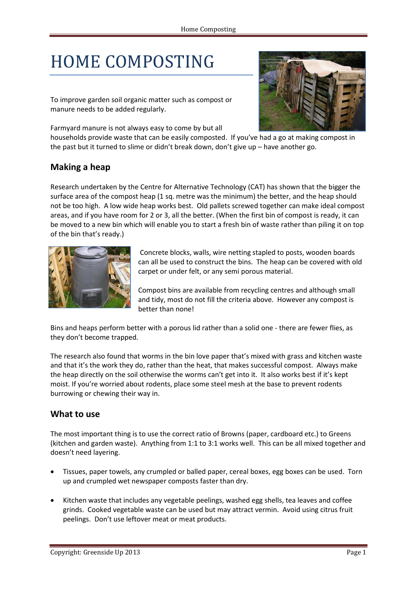# HOME COMPOSTING

To improve garden soil organic matter such as compost or manure needs to be added regularly.

Farmyard manure is not always easy to come by but all



households provide waste that can be easily composted. If you've had a go at making compost in the past but it turned to slime or didn't break down, don't give up – have another go.

## **Making a heap**

Research undertaken by the Centre for Alternative Technology (CAT) has shown that the bigger the surface area of the compost heap (1 sq. metre was the minimum) the better, and the heap should not be too high. A low wide heap works best. Old pallets screwed together can make ideal compost areas, and if you have room for 2 or 3, all the better. (When the first bin of compost is ready, it can be moved to a new bin which will enable you to start a fresh bin of waste rather than piling it on top of the bin that's ready.)



Concrete blocks, walls, wire netting stapled to posts, wooden boards can all be used to construct the bins. The heap can be covered with old carpet or under felt, or any semi porous material.

Compost bins are available from recycling centres and although small and tidy, most do not fill the criteria above. However any compost is better than none!

Bins and heaps perform better with a porous lid rather than a solid one - there are fewer flies, as they don't become trapped.

The research also found that worms in the bin love paper that's mixed with grass and kitchen waste and that it's the work they do, rather than the heat, that makes successful compost. Always make the heap directly on the soil otherwise the worms can't get into it. It also works best if it's kept moist. If you're worried about rodents, place some steel mesh at the base to prevent rodents burrowing or chewing their way in.

### **What to use**

The most important thing is to use the correct ratio of Browns (paper, cardboard etc.) to Greens (kitchen and garden waste). Anything from 1:1 to 3:1 works well. This can be all mixed together and doesn't need layering.

- Tissues, paper towels, any crumpled or balled paper, cereal boxes, egg boxes can be used. Torn up and crumpled wet newspaper composts faster than dry.
- Kitchen waste that includes any vegetable peelings, washed egg shells, tea leaves and coffee grinds. Cooked vegetable waste can be used but may attract vermin. Avoid using citrus fruit peelings. Don't use leftover meat or meat products.